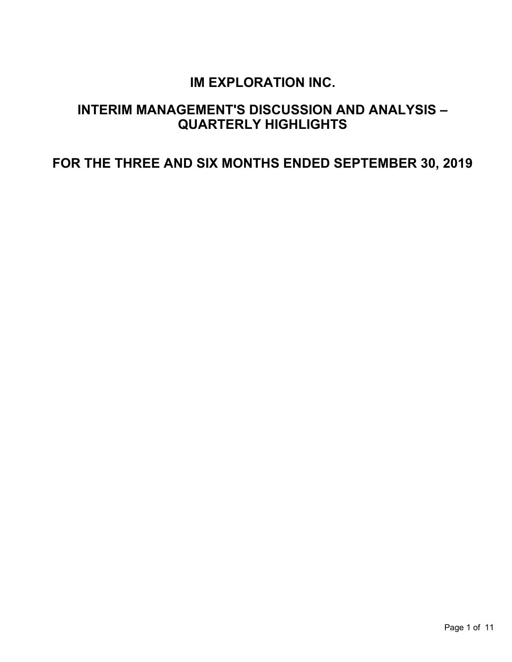# **IM EXPLORATION INC.**

# **INTERIM MANAGEMENT'S DISCUSSION AND ANALYSIS – QUARTERLY HIGHLIGHTS**

**FOR THE THREE AND SIX MONTHS ENDED SEPTEMBER 30, 2019**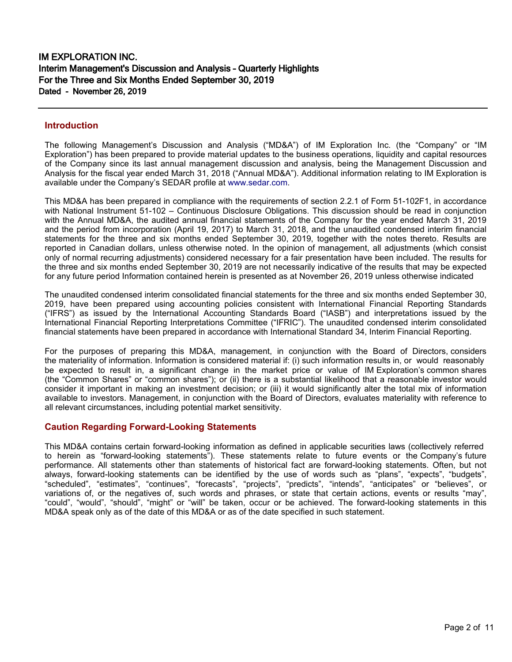#### **Introduction**

The following Management's Discussion and Analysis ("MD&A") of IM Exploration Inc. (the "Company" or "IM Exploration") has been prepared to provide material updates to the business operations, liquidity and capital resources of the Company since its last annual management discussion and analysis, being the Management Discussion and Analysis for the fiscal year ended March 31, 2018 ("Annual MD&A"). Additional information relating to IM Exploration is available under the Company's SEDAR profile at [www.sedar.com.](http://www.sedar.com/)

This MD&A has been prepared in compliance with the requirements of section 2.2.1 of Form 51-102F1, in accordance with National Instrument 51-102 – Continuous Disclosure Obligations. This discussion should be read in conjunction with the Annual MD&A, the audited annual financial statements of the Company for the year ended March 31, 2019 and the period from incorporation (April 19, 2017) to March 31, 2018, and the unaudited condensed interim financial statements for the three and six months ended September 30, 2019, together with the notes thereto. Results are reported in Canadian dollars, unless otherwise noted. In the opinion of management, all adjustments (which consist only of normal recurring adjustments) considered necessary for a fair presentation have been included. The results for the three and six months ended September 30, 2019 are not necessarily indicative of the results that may be expected for any future period Information contained herein is presented as at November 26, 2019 unless otherwise indicated

The unaudited condensed interim consolidated financial statements for the three and six months ended September 30, 2019, have been prepared using accounting policies consistent with International Financial Reporting Standards ("IFRS") as issued by the International Accounting Standards Board ("IASB") and interpretations issued by the International Financial Reporting Interpretations Committee ("IFRIC"). The unaudited condensed interim consolidated financial statements have been prepared in accordance with International Standard 34, Interim Financial Reporting.

For the purposes of preparing this MD&A, management, in conjunction with the Board of Directors, considers the materiality of information. Information is considered material if: (i) such information results in, or would reasonably be expected to result in, a significant change in the market price or value of IM Exploration's common shares (the "Common Shares" or "common shares"); or (ii) there is a substantial likelihood that a reasonable investor would consider it important in making an investment decision; or (iii) it would significantly alter the total mix of information available to investors. Management, in conjunction with the Board of Directors, evaluates materiality with reference to all relevant circumstances, including potential market sensitivity.

## **Caution Regarding Forward-Looking Statements**

This MD&A contains certain forward-looking information as defined in applicable securities laws (collectively referred to herein as "forward-looking statements"). These statements relate to future events or the Company's future performance. All statements other than statements of historical fact are forward-looking statements. Often, but not always, forward-looking statements can be identified by the use of words such as "plans", "expects", "budgets", "scheduled", "estimates", "continues", "forecasts", "projects", "predicts", "intends", "anticipates" or "believes", or variations of, or the negatives of, such words and phrases, or state that certain actions, events or results "may", "could", "would", "should", "might" or "will" be taken, occur or be achieved. The forward-looking statements in this MD&A speak only as of the date of this MD&A or as of the date specified in such statement.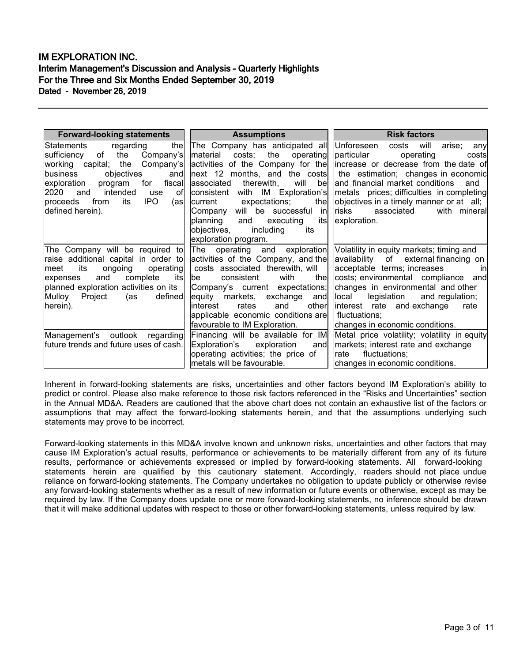| <b>Forward-looking statements</b>                                         | <b>Assumptions</b>                                                                                                                             | <b>Risk factors</b>                                                                                    |  |  |  |
|---------------------------------------------------------------------------|------------------------------------------------------------------------------------------------------------------------------------------------|--------------------------------------------------------------------------------------------------------|--|--|--|
| the<br>regarding<br>lStatements<br>the<br>Company's<br>lsufficiency<br>of | The Company has anticipated all Unforeseen<br>material costs; the operating                                                                    | costs will<br>arise;<br>any<br>particular<br>operating<br>costs                                        |  |  |  |
| Company's<br>working capital; the                                         |                                                                                                                                                | activities of the Company for the lincrease or decrease from the date of                               |  |  |  |
| lbusiness<br>objectives<br>and                                            |                                                                                                                                                | next 12 months, and the costs    the estimation; changes in economic                                   |  |  |  |
| for<br>exploration<br>program<br>fiscal                                   | will bel<br>associated therewith,                                                                                                              | and financial market conditions<br>and                                                                 |  |  |  |
| intended<br>2020<br>and<br>use<br>ofl                                     | consistent                                                                                                                                     | with IM Exploration's       metals prices; difficulties in completing                                  |  |  |  |
| IPO.<br>from<br>its<br>(asl<br>Iproceeds                                  | the<br>expectations;<br>current                                                                                                                | objectives in a timely manner or at all;                                                               |  |  |  |
| defined herein).                                                          | Company will be successful in                                                                                                                  | risks associated<br>with mineral                                                                       |  |  |  |
|                                                                           | planning<br>its<br>and<br>executing                                                                                                            | exploration.                                                                                           |  |  |  |
|                                                                           | objectives, including<br>its                                                                                                                   |                                                                                                        |  |  |  |
|                                                                           | exploration program.                                                                                                                           |                                                                                                        |  |  |  |
|                                                                           |                                                                                                                                                | The Company will be required to The operating and exploration Volatility in equity markets; timing and |  |  |  |
| raise additional capital in order to                                      | activities of the Company, and the                                                                                                             | availability of external financing on                                                                  |  |  |  |
| operating<br>its<br>ongoing<br>lmeet                                      | costs associated therewith, will                                                                                                               | acceptable terms; increases<br><sub>in</sub>                                                           |  |  |  |
| complete<br>and<br>itsl<br>expenses                                       | consistent<br>with<br>thel<br>lbe the set of the set of the set of the set of the set of the set of the set of the set of the set of the set o | costs; environmental compliance and                                                                    |  |  |  |
| planned exploration activities on its                                     | Company's current expectations;                                                                                                                | changes in environmental and other                                                                     |  |  |  |
| defined<br>Mulloy<br>Project<br>(as                                       | equity markets, exchange and<br>linterest  rates<br>and                                                                                        | legislation and regulation;<br>llocal                                                                  |  |  |  |
| herein).                                                                  | other<br>applicable economic conditions are                                                                                                    | linterest rate and exchange<br>rate                                                                    |  |  |  |
|                                                                           | favourable to IM Exploration.                                                                                                                  | fluctuations;                                                                                          |  |  |  |
|                                                                           | changes in economic conditions.                                                                                                                |                                                                                                        |  |  |  |
| Management's outlook regarding                                            | Financing will be available for IM<br>and∣                                                                                                     | Metal price volatility; volatility in equity                                                           |  |  |  |
| future trends and future uses of cash.                                    | Exploration's exploration<br>operating activities; the price of                                                                                | markets; interest rate and exchange<br>fluctuations;<br>Irate                                          |  |  |  |
|                                                                           | metals will be favourable.                                                                                                                     | changes in economic conditions.                                                                        |  |  |  |
|                                                                           |                                                                                                                                                |                                                                                                        |  |  |  |

Inherent in forward-looking statements are risks, uncertainties and other factors beyond IM Exploration's ability to predict or control. Please also make reference to those risk factors referenced in the "Risks and Uncertainties" section in the Annual MD&A. Readers are cautioned that the above chart does not contain an exhaustive list of the factors or assumptions that may affect the forward-looking statements herein, and that the assumptions underlying such statements may prove to be incorrect.

Forward-looking statements in this MD&A involve known and unknown risks, uncertainties and other factors that may cause IM Exploration's actual results, performance or achievements to be materially different from any of its future results, performance or achievements expressed or implied by forward-looking statements. All forward-looking statements herein are qualified by this cautionary statement. Accordingly, readers should not place undue reliance on forward-looking statements. The Company undertakes no obligation to update publicly or otherwise revise any forward-looking statements whether as a result of new information or future events or otherwise, except as may be required by law. If the Company does update one or more forward-looking statements, no inference should be drawn that it will make additional updates with respect to those or other forward-looking statements, unless required by law.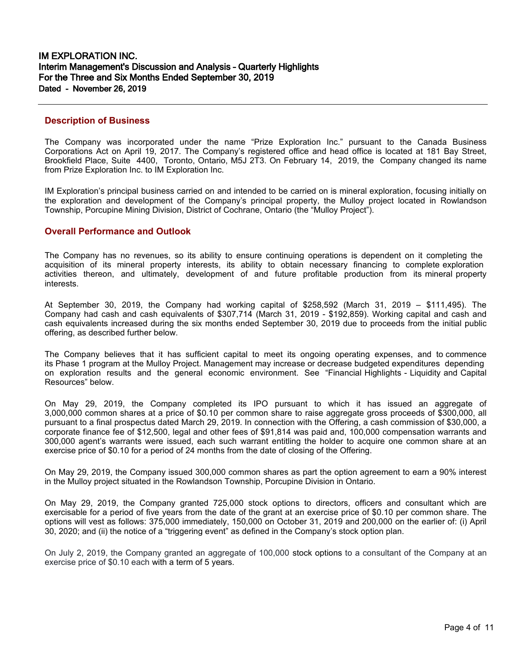#### **Description of Business**

The Company was incorporated under the name "Prize Exploration Inc." pursuant to the Canada Business Corporations Act on April 19, 2017. The Company's registered office and head office is located at 181 Bay Street, Brookfield Place, Suite 4400, Toronto, Ontario, M5J 2T3. On February 14, 2019, the Company changed its name from Prize Exploration Inc. to IM Exploration Inc.

IM Exploration's principal business carried on and intended to be carried on is mineral exploration, focusing initially on the exploration and development of the Company's principal property, the Mulloy project located in Rowlandson Township, Porcupine Mining Division, District of Cochrane, Ontario (the "Mulloy Project").

#### **Overall Performance and Outlook**

The Company has no revenues, so its ability to ensure continuing operations is dependent on it completing the acquisition of its mineral property interests, its ability to obtain necessary financing to complete exploration activities thereon, and ultimately, development of and future profitable production from its mineral property interests.

At September 30, 2019, the Company had working capital of \$258,592 (March 31, 2019 – \$111,495). The Company had cash and cash equivalents of \$307,714 (March 31, 2019 - \$192,859). Working capital and cash and cash equivalents increased during the six months ended September 30, 2019 due to proceeds from the initial public offering, as described further below.

The Company believes that it has sufficient capital to meet its ongoing operating expenses, and to commence its Phase 1 program at the Mulloy Project. Management may increase or decrease budgeted expenditures depending on exploration results and the general economic environment. See "Financial Highlights - Liquidity and Capital Resources" below.

On May 29, 2019, the Company completed its IPO pursuant to which it has issued an aggregate of 3,000,000 common shares at a price of \$0.10 per common share to raise aggregate gross proceeds of \$300,000, all pursuant to a final prospectus dated March 29, 2019. In connection with the Offering, a cash commission of \$30,000, a corporate finance fee of \$12,500, legal and other fees of \$91,814 was paid and, 100,000 compensation warrants and 300,000 agent's warrants were issued, each such warrant entitling the holder to acquire one common share at an exercise price of \$0.10 for a period of 24 months from the date of closing of the Offering.

On May 29, 2019, the Company issued 300,000 common shares as part the option agreement to earn a 90% interest in the Mulloy project situated in the Rowlandson Township, Porcupine Division in Ontario.

On May 29, 2019, the Company granted 725,000 stock options to directors, officers and consultant which are exercisable for a period of five years from the date of the grant at an exercise price of \$0.10 per common share. The options will vest as follows: 375,000 immediately, 150,000 on October 31, 2019 and 200,000 on the earlier of: (i) April 30, 2020; and (ii) the notice of a "triggering event" as defined in the Company's stock option plan.

On July 2, 2019, the Company granted an aggregate of 100,000 stock options to a consultant of the Company at an exercise price of \$0.10 each with a term of 5 years.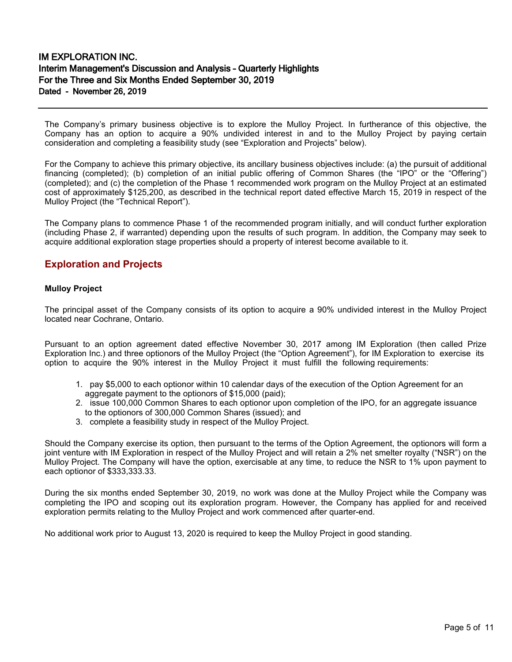The Company's primary business objective is to explore the Mulloy Project. In furtherance of this objective, the Company has an option to acquire a 90% undivided interest in and to the Mulloy Project by paying certain consideration and completing a feasibility study (see "Exploration and Projects" below).

For the Company to achieve this primary objective, its ancillary business objectives include: (a) the pursuit of additional financing (completed); (b) completion of an initial public offering of Common Shares (the "IPO" or the "Offering") (completed); and (c) the completion of the Phase 1 recommended work program on the Mulloy Project at an estimated cost of approximately \$125,200, as described in the technical report dated effective March 15, 2019 in respect of the Mulloy Project (the "Technical Report").

The Company plans to commence Phase 1 of the recommended program initially, and will conduct further exploration (including Phase 2, if warranted) depending upon the results of such program. In addition, the Company may seek to acquire additional exploration stage properties should a property of interest become available to it.

# **Exploration and Projects**

#### **Mulloy Project**

The principal asset of the Company consists of its option to acquire a 90% undivided interest in the Mulloy Project located near Cochrane, Ontario.

Pursuant to an option agreement dated effective November 30, 2017 among IM Exploration (then called Prize Exploration Inc.) and three optionors of the Mulloy Project (the "Option Agreement"), for IM Exploration to exercise its option to acquire the 90% interest in the Mulloy Project it must fulfill the following requirements:

- 1. pay \$5,000 to each optionor within 10 calendar days of the execution of the Option Agreement for an aggregate payment to the optionors of \$15,000 (paid);
- 2. issue 100,000 Common Shares to each optionor upon completion of the IPO, for an aggregate issuance to the optionors of 300,000 Common Shares (issued); and
- 3. complete a feasibility study in respect of the Mulloy Project.

Should the Company exercise its option, then pursuant to the terms of the Option Agreement, the optionors will form a joint venture with IM Exploration in respect of the Mulloy Project and will retain a 2% net smelter royalty ("NSR") on the Mulloy Project. The Company will have the option, exercisable at any time, to reduce the NSR to 1% upon payment to each optionor of \$333,333.33.

During the six months ended September 30, 2019, no work was done at the Mulloy Project while the Company was completing the IPO and scoping out its exploration program. However, the Company has applied for and received exploration permits relating to the Mulloy Project and work commenced after quarter-end.

No additional work prior to August 13, 2020 is required to keep the Mulloy Project in good standing.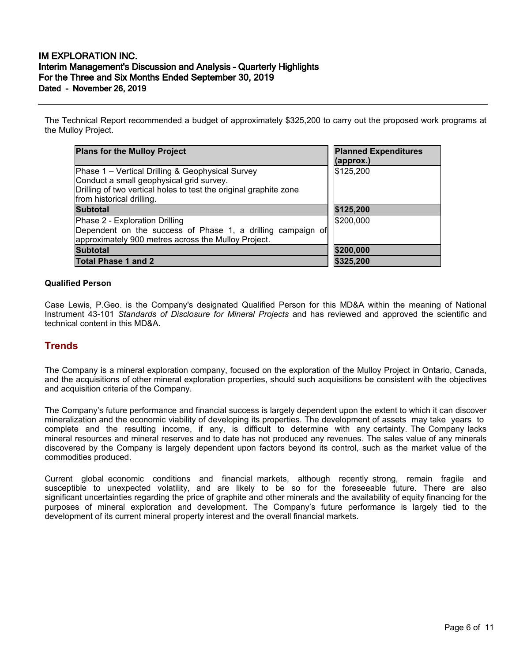The Technical Report recommended a budget of approximately \$325,200 to carry out the proposed work programs at the Mulloy Project.

| <b>Plans for the Mulloy Project</b>                                                                                                                                                            | <b>Planned Expenditures</b><br>(approx.) |  |  |
|------------------------------------------------------------------------------------------------------------------------------------------------------------------------------------------------|------------------------------------------|--|--|
| Phase 1 – Vertical Drilling & Geophysical Survey<br>Conduct a small geophysical grid survey.<br>Drilling of two vertical holes to test the original graphite zone<br>from historical drilling. | \$125,200                                |  |  |
| <b>Subtotal</b>                                                                                                                                                                                | \$125,200                                |  |  |
| Phase 2 - Exploration Drilling<br>Dependent on the success of Phase 1, a drilling campaign of<br>approximately 900 metres across the Mulloy Project.                                           | \$200,000                                |  |  |
| <b>Subtotal</b>                                                                                                                                                                                | \$200,000                                |  |  |
| <b>Total Phase 1 and 2</b>                                                                                                                                                                     | \$325,200                                |  |  |

#### **Qualified Person**

Case Lewis, P.Geo. is the Company's designated Qualified Person for this MD&A within the meaning of National Instrument 43-101 *Standards of Disclosure for Mineral Projects* and has reviewed and approved the scientific and technical content in this MD&A.

## **Trends**

The Company is a mineral exploration company, focused on the exploration of the Mulloy Project in Ontario, Canada, and the acquisitions of other mineral exploration properties, should such acquisitions be consistent with the objectives and acquisition criteria of the Company.

The Company's future performance and financial success is largely dependent upon the extent to which it can discover mineralization and the economic viability of developing its properties. The development of assets may take years to complete and the resulting income, if any, is difficult to determine with any certainty. The Company lacks mineral resources and mineral reserves and to date has not produced any revenues. The sales value of any minerals discovered by the Company is largely dependent upon factors beyond its control, such as the market value of the commodities produced.

Current global economic conditions and financial markets, although recently strong, remain fragile and susceptible to unexpected volatility, and are likely to be so for the foreseeable future. There are also significant uncertainties regarding the price of graphite and other minerals and the availability of equity financing for the purposes of mineral exploration and development. The Company's future performance is largely tied to the development of its current mineral property interest and the overall financial markets.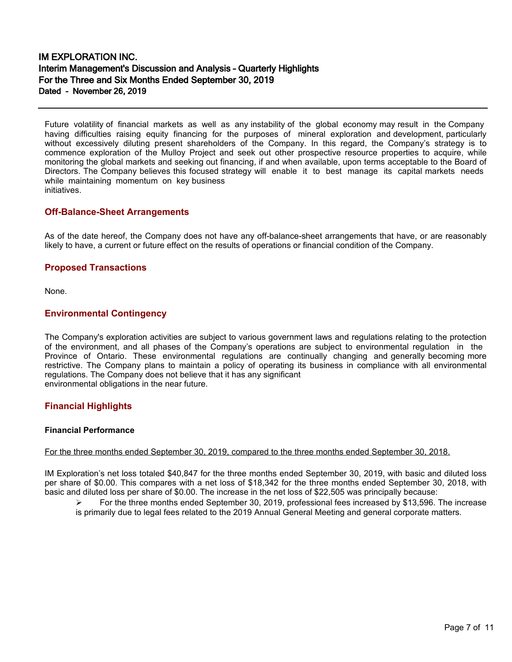Future volatility of financial markets as well as any instability of the global economy may result in the Company having difficulties raising equity financing for the purposes of mineral exploration and development, particularly without excessively diluting present shareholders of the Company. In this regard, the Company's strategy is to commence exploration of the Mulloy Project and seek out other prospective resource properties to acquire, while monitoring the global markets and seeking out financing, if and when available, upon terms acceptable to the Board of Directors. The Company believes this focused strategy will enable it to best manage its capital markets needs while maintaining momentum on key business initiatives.

## **Off-Balance-Sheet Arrangements**

As of the date hereof, the Company does not have any off-balance-sheet arrangements that have, or are reasonably likely to have, a current or future effect on the results of operations or financial condition of the Company.

## **Proposed Transactions**

None.

## **Environmental Contingency**

The Company's exploration activities are subject to various government laws and regulations relating to the protection of the environment, and all phases of the Company's operations are subject to environmental regulation in the Province of Ontario. These environmental regulations are continually changing and generally becoming more restrictive. The Company plans to maintain a policy of operating its business in compliance with all environmental regulations. The Company does not believe that it has any significant environmental obligations in the near future.

## **Financial Highlights**

#### **Financial Performance**

#### For the three months ended September 30, 2019, compared to the three months ended September 30, 2018.

IM Exploration's net loss totaled \$40,847 for the three months ended September 30, 2019, with basic and diluted loss per share of \$0.00. This compares with a net loss of \$18,342 for the three months ended September 30, 2018, with basic and diluted loss per share of \$0.00. The increase in the net loss of \$22,505 was principally because:

 For the three months ended September 30, 2019, professional fees increased by \$13,596. The increase is primarily due to legal fees related to the 2019 Annual General Meeting and general corporate matters.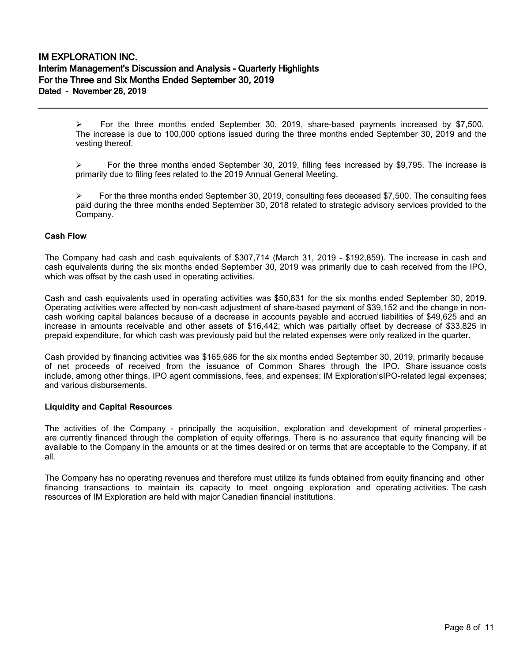$\triangleright$  For the three months ended September 30, 2019, share-based payments increased by \$7,500. The increase is due to 100,000 options issued during the three months ended September 30, 2019 and the vesting thereof.

 $\triangleright$  For the three months ended September 30, 2019, filling fees increased by \$9,795. The increase is primarily due to filing fees related to the 2019 Annual General Meeting.

 $\triangleright$  For the three months ended September 30, 2019, consulting fees deceased \$7,500. The consulting fees paid during the three months ended September 30, 2018 related to strategic advisory services provided to the Company.

#### **Cash Flow**

The Company had cash and cash equivalents of \$307,714 (March 31, 2019 - \$192,859). The increase in cash and cash equivalents during the six months ended September 30, 2019 was primarily due to cash received from the IPO, which was offset by the cash used in operating activities.

Cash and cash equivalents used in operating activities was \$50,831 for the six months ended September 30, 2019. Operating activities were affected by non-cash adjustment of share-based payment of \$39,152 and the change in noncash working capital balances because of a decrease in accounts payable and accrued liabilities of \$49,625 and an increase in amounts receivable and other assets of \$16,442; which was partially offset by decrease of \$33,825 in prepaid expenditure, for which cash was previously paid but the related expenses were only realized in the quarter.

Cash provided by financing activities was \$165,686 for the six months ended September 30, 2019, primarily because of net proceeds of received from the issuance of Common Shares through the IPO. Share issuance costs include, among other things, IPO agent commissions, fees, and expenses; IM Exploration'sIPO-related legal expenses; and various disbursements.

#### **Liquidity and Capital Resources**

The activities of the Company - principally the acquisition, exploration and development of mineral properties are currently financed through the completion of equity offerings. There is no assurance that equity financing will be available to the Company in the amounts or at the times desired or on terms that are acceptable to the Company, if at all.

The Company has no operating revenues and therefore must utilize its funds obtained from equity financing and other financing transactions to maintain its capacity to meet ongoing exploration and operating activities. The cash resources of IM Exploration are held with major Canadian financial institutions.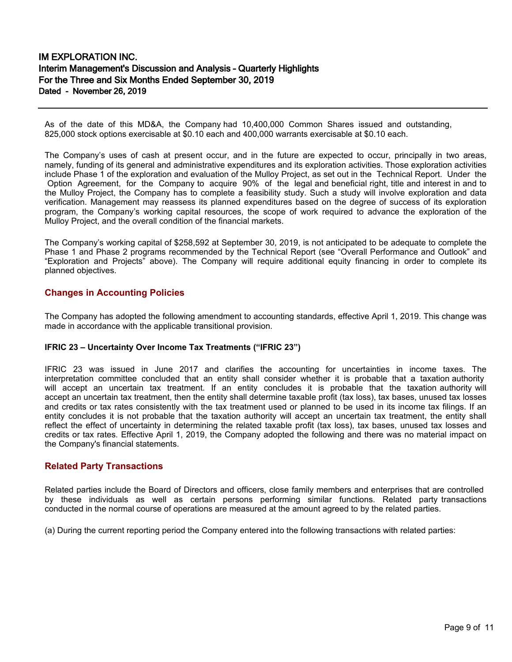As of the date of this MD&A, the Company had 10,400,000 Common Shares issued and outstanding, 825,000 stock options exercisable at \$0.10 each and 400,000 warrants exercisable at \$0.10 each.

The Company's uses of cash at present occur, and in the future are expected to occur, principally in two areas, namely, funding of its general and administrative expenditures and its exploration activities. Those exploration activities include Phase 1 of the exploration and evaluation of the Mulloy Project, as set out in the Technical Report. Under the Option Agreement, for the Company to acquire 90% of the legal and beneficial right, title and interest in and to the Mulloy Project, the Company has to complete a feasibility study. Such a study will involve exploration and data verification. Management may reassess its planned expenditures based on the degree of success of its exploration program, the Company's working capital resources, the scope of work required to advance the exploration of the Mulloy Project, and the overall condition of the financial markets.

The Company's working capital of \$258,592 at September 30, 2019, is not anticipated to be adequate to complete the Phase 1 and Phase 2 programs recommended by the Technical Report (see "Overall Performance and Outlook" and "Exploration and Projects" above). The Company will require additional equity financing in order to complete its planned objectives.

## **Changes in Accounting Policies**

The Company has adopted the following amendment to accounting standards, effective April 1, 2019. This change was made in accordance with the applicable transitional provision.

#### **IFRIC 23 – Uncertainty Over Income Tax Treatments ("IFRIC 23")**

IFRIC 23 was issued in June 2017 and clarifies the accounting for uncertainties in income taxes. The interpretation committee concluded that an entity shall consider whether it is probable that a taxation authority will accept an uncertain tax treatment. If an entity concludes it is probable that the taxation authority will accept an uncertain tax treatment, then the entity shall determine taxable profit (tax loss), tax bases, unused tax losses and credits or tax rates consistently with the tax treatment used or planned to be used in its income tax filings. If an entity concludes it is not probable that the taxation authority will accept an uncertain tax treatment, the entity shall reflect the effect of uncertainty in determining the related taxable profit (tax loss), tax bases, unused tax losses and credits or tax rates. Effective April 1, 2019, the Company adopted the following and there was no material impact on the Company's financial statements.

## **Related Party Transactions**

Related parties include the Board of Directors and officers, close family members and enterprises that are controlled by these individuals as well as certain persons performing similar functions. Related party transactions conducted in the normal course of operations are measured at the amount agreed to by the related parties.

(a) During the current reporting period the Company entered into the following transactions with related parties: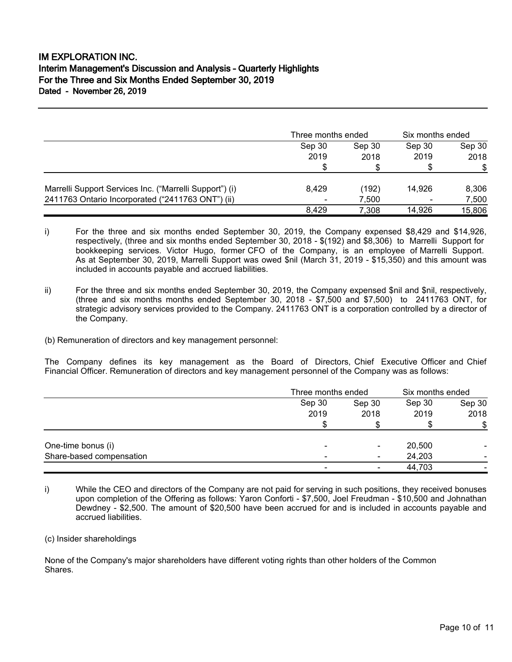|                                                         | Three months ended |        | Six months ended         |        |
|---------------------------------------------------------|--------------------|--------|--------------------------|--------|
|                                                         | Sep 30             | Sep 30 | Sep 30                   | Sep 30 |
|                                                         | 2019               | 2018   | 2019                     | 2018   |
|                                                         | \$                 |        |                          | \$     |
| Marrelli Support Services Inc. ("Marrelli Support") (i) | 8.429              | (192)  | 14.926                   | 8,306  |
| 2411763 Ontario Incorporated ("2411763 ONT") (ii)       | ٠                  | 7.500  | $\overline{\phantom{0}}$ | 7,500  |
|                                                         | 8.429              | 7,308  | 14.926                   | 15,806 |

- i) For the three and six months ended September 30, 2019, the Company expensed \$8,429 and \$14,926, respectively, (three and six months ended September 30, 2018 - \$(192) and \$8,306) to Marrelli Support for bookkeeping services. Victor Hugo, former CFO of the Company, is an employee of Marrelli Support. As at September 30, 2019, Marrelli Support was owed \$nil (March 31, 2019 - \$15,350) and this amount was included in accounts payable and accrued liabilities.
- ii) For the three and six months ended September 30, 2019, the Company expensed \$nil and \$nil, respectively, (three and six months months ended September 30, 2018 - \$7,500 and \$7,500) to 2411763 ONT, for strategic advisory services provided to the Company. 2411763 ONT is a corporation controlled by a director of the Company.
- (b) Remuneration of directors and key management personnel:

The Company defines its key management as the Board of Directors, Chief Executive Officer and Chief Financial Officer. Remuneration of directors and key management personnel of the Company was as follows:

|                          |                          | Three months ended |        | Six months ended |  |
|--------------------------|--------------------------|--------------------|--------|------------------|--|
|                          | Sep 30                   | Sep 30             | Sep 30 | Sep 30           |  |
|                          | 2019                     | 2018               | 2019   | 2018             |  |
|                          |                          |                    |        | \$               |  |
| One-time bonus (i)       | $\overline{\phantom{0}}$ | $\blacksquare$     | 20,500 |                  |  |
| Share-based compensation | $\blacksquare$           | $\blacksquare$     | 24,203 |                  |  |
|                          | ۰                        | ۰                  | 44,703 |                  |  |

i) While the CEO and directors of the Company are not paid for serving in such positions, they received bonuses upon completion of the Offering as follows: Yaron Conforti - \$7,500, Joel Freudman - \$10,500 and Johnathan Dewdney - \$2,500. The amount of \$20,500 have been accrued for and is included in accounts payable and accrued liabilities.

(c) Insider shareholdings

None of the Company's major shareholders have different voting rights than other holders of the Common Shares.